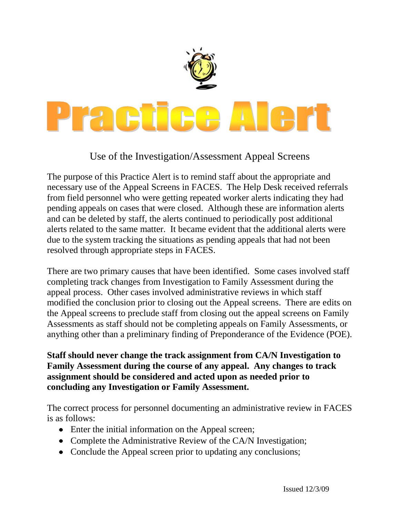

## Use of the Investigation/Assessment Appeal Screens

The purpose of this Practice Alert is to remind staff about the appropriate and necessary use of the Appeal Screens in FACES. The Help Desk received referrals from field personnel who were getting repeated worker alerts indicating they had pending appeals on cases that were closed. Although these are information alerts and can be deleted by staff, the alerts continued to periodically post additional alerts related to the same matter. It became evident that the additional alerts were due to the system tracking the situations as pending appeals that had not been resolved through appropriate steps in FACES.

There are two primary causes that have been identified. Some cases involved staff completing track changes from Investigation to Family Assessment during the appeal process. Other cases involved administrative reviews in which staff modified the conclusion prior to closing out the Appeal screens. There are edits on the Appeal screens to preclude staff from closing out the appeal screens on Family Assessments as staff should not be completing appeals on Family Assessments, or anything other than a preliminary finding of Preponderance of the Evidence (POE).

## **Staff should never change the track assignment from CA/N Investigation to Family Assessment during the course of any appeal. Any changes to track assignment should be considered and acted upon as needed prior to concluding any Investigation or Family Assessment.**

The correct process for personnel documenting an administrative review in FACES is as follows:

- Enter the initial information on the Appeal screen;
- Complete the Administrative Review of the CA/N Investigation;
- Conclude the Appeal screen prior to updating any conclusions;